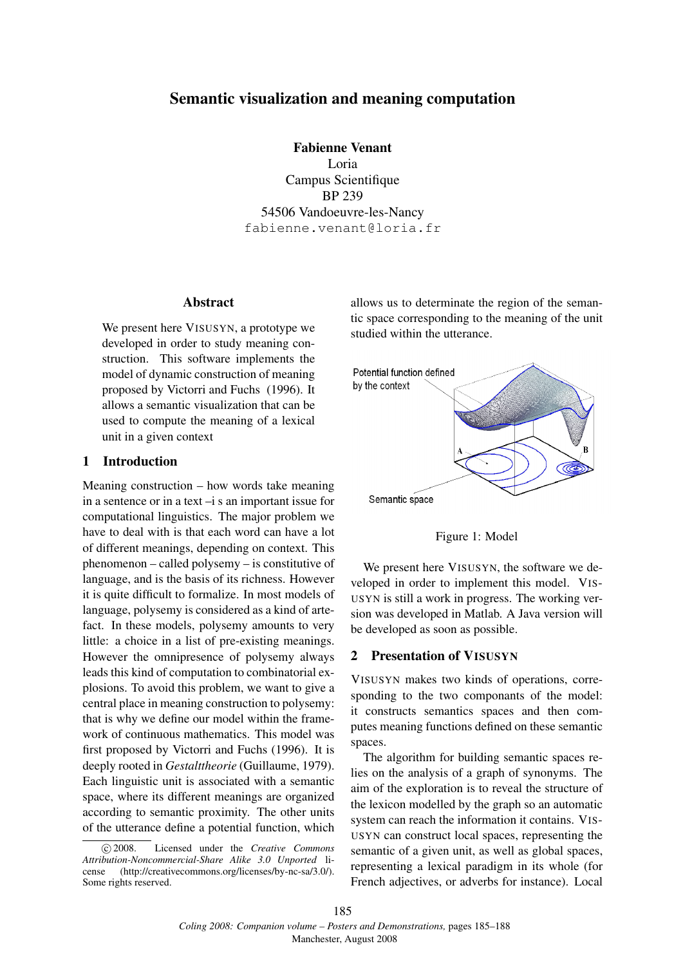# Semantic visualization and meaning computation

Fabienne Venant Loria Campus Scientifique BP 239 54506 Vandoeuvre-les-Nancy fabienne.venant@loria.fr

#### Abstract

We present here VISUSYN, a prototype we developed in order to study meaning construction. This software implements the model of dynamic construction of meaning proposed by Victorri and Fuchs (1996). It allows a semantic visualization that can be used to compute the meaning of a lexical unit in a given context

## 1 Introduction

Meaning construction – how words take meaning in a sentence or in a text –i s an important issue for computational linguistics. The major problem we have to deal with is that each word can have a lot of different meanings, depending on context. This phenomenon – called polysemy – is constitutive of language, and is the basis of its richness. However it is quite difficult to formalize. In most models of language, polysemy is considered as a kind of artefact. In these models, polysemy amounts to very little: a choice in a list of pre-existing meanings. However the omnipresence of polysemy always leads this kind of computation to combinatorial explosions. To avoid this problem, we want to give a central place in meaning construction to polysemy: that is why we define our model within the framework of continuous mathematics. This model was first proposed by Victorri and Fuchs (1996). It is deeply rooted in *Gestalttheorie* (Guillaume, 1979). Each linguistic unit is associated with a semantic space, where its different meanings are organized according to semantic proximity. The other units of the utterance define a potential function, which allows us to determinate the region of the semantic space corresponding to the meaning of the unit studied within the utterance.



Figure 1: Model

We present here VISUSYN, the software we developed in order to implement this model. VIS-USYN is still a work in progress. The working version was developed in Matlab. A Java version will be developed as soon as possible.

### 2 Presentation of VISUSYN

VISUSYN makes two kinds of operations, corresponding to the two componants of the model: it constructs semantics spaces and then computes meaning functions defined on these semantic spaces.

The algorithm for building semantic spaces relies on the analysis of a graph of synonyms. The aim of the exploration is to reveal the structure of the lexicon modelled by the graph so an automatic system can reach the information it contains. VIS-USYN can construct local spaces, representing the semantic of a given unit, as well as global spaces, representing a lexical paradigm in its whole (for French adjectives, or adverbs for instance). Local

c 2008. Licensed under the *Creative Commons Attribution-Noncommercial-Share Alike 3.0 Unported* license (http://creativecommons.org/licenses/by-nc-sa/3.0/). Some rights reserved.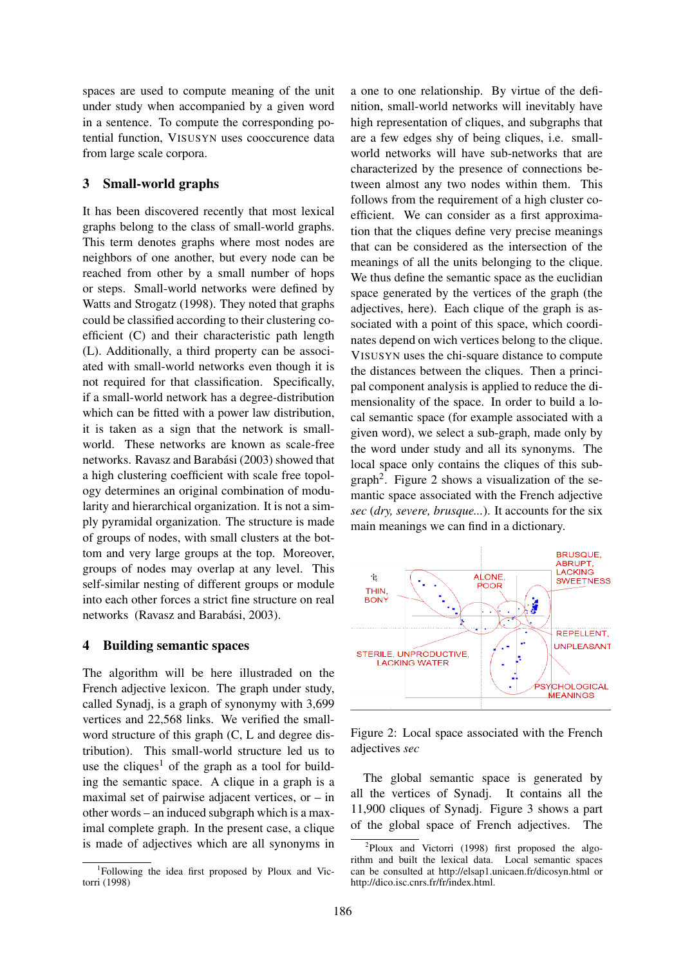spaces are used to compute meaning of the unit under study when accompanied by a given word in a sentence. To compute the corresponding potential function, VISUSYN uses cooccurence data from large scale corpora.

## 3 Small-world graphs

It has been discovered recently that most lexical graphs belong to the class of small-world graphs. This term denotes graphs where most nodes are neighbors of one another, but every node can be reached from other by a small number of hops or steps. Small-world networks were defined by Watts and Strogatz (1998). They noted that graphs could be classified according to their clustering coefficient (C) and their characteristic path length (L). Additionally, a third property can be associated with small-world networks even though it is not required for that classification. Specifically, if a small-world network has a degree-distribution which can be fitted with a power law distribution, it is taken as a sign that the network is smallworld. These networks are known as scale-free networks. Ravasz and Barabási (2003) showed that a high clustering coefficient with scale free topology determines an original combination of modularity and hierarchical organization. It is not a simply pyramidal organization. The structure is made of groups of nodes, with small clusters at the bottom and very large groups at the top. Moreover, groups of nodes may overlap at any level. This self-similar nesting of different groups or module into each other forces a strict fine structure on real networks (Ravasz and Barabási, 2003).

### 4 Building semantic spaces

The algorithm will be here illustraded on the French adjective lexicon. The graph under study, called Synadj, is a graph of synonymy with 3,699 vertices and 22,568 links. We verified the smallword structure of this graph (C, L and degree distribution). This small-world structure led us to use the cliques<sup>1</sup> of the graph as a tool for building the semantic space. A clique in a graph is a maximal set of pairwise adjacent vertices, or – in other words – an induced subgraph which is a maximal complete graph. In the present case, a clique is made of adjectives which are all synonyms in a one to one relationship. By virtue of the definition, small-world networks will inevitably have high representation of cliques, and subgraphs that are a few edges shy of being cliques, i.e. smallworld networks will have sub-networks that are characterized by the presence of connections between almost any two nodes within them. This follows from the requirement of a high cluster coefficient. We can consider as a first approximation that the cliques define very precise meanings that can be considered as the intersection of the meanings of all the units belonging to the clique. We thus define the semantic space as the euclidian space generated by the vertices of the graph (the adjectives, here). Each clique of the graph is associated with a point of this space, which coordinates depend on wich vertices belong to the clique. VISUSYN uses the chi-square distance to compute the distances between the cliques. Then a principal component analysis is applied to reduce the dimensionality of the space. In order to build a local semantic space (for example associated with a given word), we select a sub-graph, made only by the word under study and all its synonyms. The local space only contains the cliques of this sub $graph<sup>2</sup>$ . Figure 2 shows a visualization of the semantic space associated with the French adjective *sec* (*dry, severe, brusque...*). It accounts for the six main meanings we can find in a dictionary.



Figure 2: Local space associated with the French adjectives *sec*

The global semantic space is generated by all the vertices of Synadj. It contains all the 11,900 cliques of Synadj. Figure 3 shows a part of the global space of French adjectives. The

<sup>1</sup> Following the idea first proposed by Ploux and Victorri (1998)

<sup>&</sup>lt;sup>2</sup>Ploux and Victorri (1998) first proposed the algorithm and built the lexical data. Local semantic spaces can be consulted at http://elsap1.unicaen.fr/dicosyn.html or http://dico.isc.cnrs.fr/fr/index.html.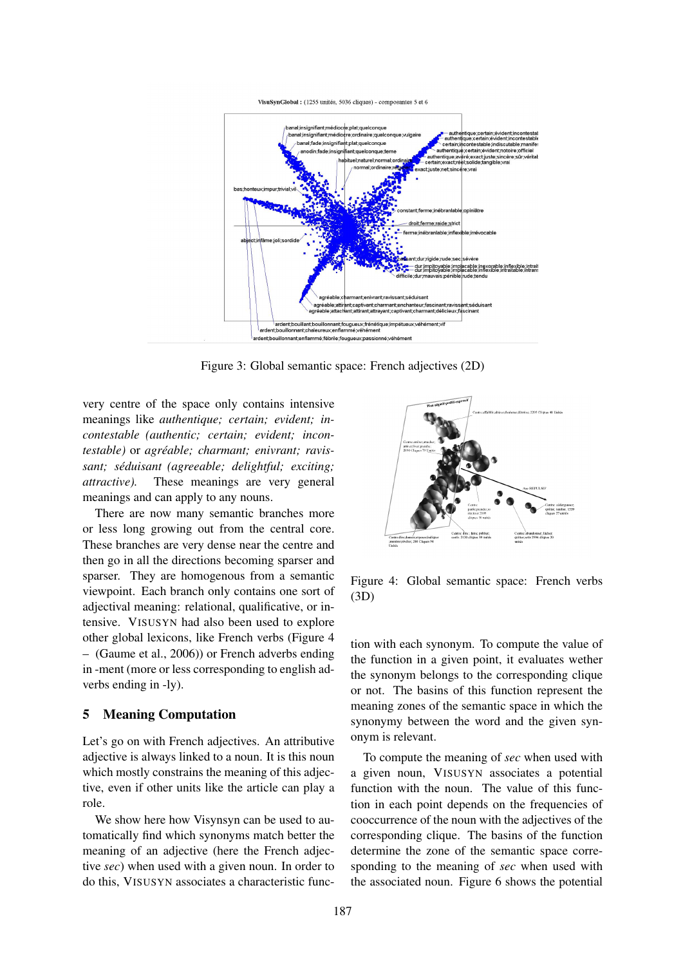

Figure 3: Global semantic space: French adjectives (2D)

very centre of the space only contains intensive meanings like *authentique; certain; evident; incontestable (authentic; certain; evident; incontestable)* or *agreable; charmant; enivrant; ravis- ´ sant; seduisant (agreeable; delightful; exciting; ´ attractive).* These meanings are very general meanings and can apply to any nouns.

There are now many semantic branches more or less long growing out from the central core. These branches are very dense near the centre and then go in all the directions becoming sparser and sparser. They are homogenous from a semantic viewpoint. Each branch only contains one sort of adjectival meaning: relational, qualificative, or intensive. VISUSYN had also been used to explore other global lexicons, like French verbs (Figure 4 – (Gaume et al., 2006)) or French adverbs ending in -ment (more or less corresponding to english adverbs ending in -ly).

### 5 Meaning Computation

Let's go on with French adjectives. An attributive adjective is always linked to a noun. It is this noun which mostly constrains the meaning of this adjective, even if other units like the article can play a role.

We show here how Visynsyn can be used to automatically find which synonyms match better the meaning of an adjective (here the French adjective *sec*) when used with a given noun. In order to do this, VISUSYN associates a characteristic func-



Figure 4: Global semantic space: French verbs (3D)

tion with each synonym. To compute the value of the function in a given point, it evaluates wether the synonym belongs to the corresponding clique or not. The basins of this function represent the meaning zones of the semantic space in which the synonymy between the word and the given synonym is relevant.

To compute the meaning of *sec* when used with a given noun, VISUSYN associates a potential function with the noun. The value of this function in each point depends on the frequencies of cooccurrence of the noun with the adjectives of the corresponding clique. The basins of the function determine the zone of the semantic space corresponding to the meaning of *sec* when used with the associated noun. Figure 6 shows the potential